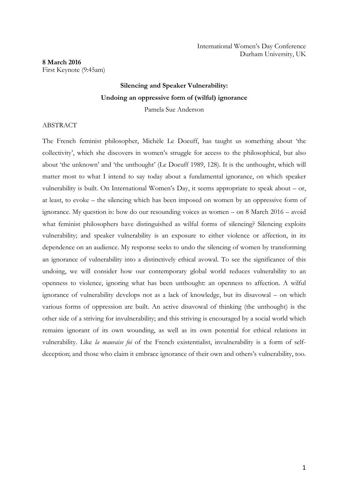# **8 March 2016** First Keynote (9:45am)

# **Silencing and Speaker Vulnerability: Undoing an oppressive form of (wilful) ignorance**

Pamela Sue Anderson

# ABSTRACT

The French feminist philosopher, Michèle Le Doeuff, has taught us something about 'the collectivity', which she discovers in women's struggle for access to the philosophical, but also about 'the unknown' and 'the unthought' (Le Doeuff 1989, 128). It is the unthought, which will matter most to what I intend to say today about a fundamental ignorance, on which speaker vulnerability is built. On International Women's Day, it seems appropriate to speak about – or, at least, to evoke – the silencing which has been imposed on women by an oppressive form of ignorance. My question is: how do our resounding voices as women – on 8 March 2016 – avoid what feminist philosophers have distinguished as wilful forms of silencing? Silencing exploits vulnerability; and speaker vulnerability is an exposure to either violence or affection, in its dependence on an audience. My response seeks to undo the silencing of women by transforming an ignorance of vulnerability into a distinctively ethical avowal. To see the significance of this undoing, we will consider how our contemporary global world reduces vulnerability to an openness to violence, ignoring what has been unthought: an openness to affection. A wilful ignorance of vulnerability develops not as a lack of knowledge, but its disavowal – on which various forms of oppression are built. An active disavowal of thinking (the unthought) is the other side of a striving for invulnerability; and this striving is encouraged by a social world which remains ignorant of its own wounding, as well as its own potential for ethical relations in vulnerability. Like *la mauvaise foi* of the French existentialist, invulnerability is a form of selfdeception; and those who claim it embrace ignorance of their own and others's vulnerability, too.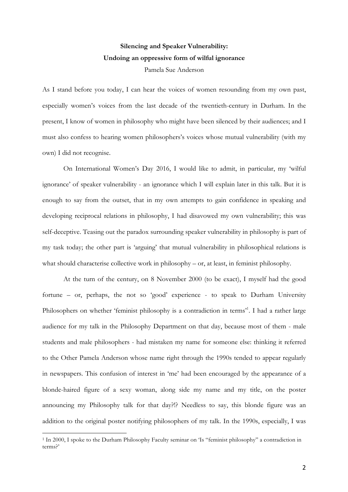# **Silencing and Speaker Vulnerability: Undoing an oppressive form of wilful ignorance**

#### Pamela Sue Anderson

As I stand before you today, I can hear the voices of women resounding from my own past, especially women's voices from the last decade of the twentieth-century in Durham. In the present, I know of women in philosophy who might have been silenced by their audiences; and I must also confess to hearing women philosophers's voices whose mutual vulnerability (with my own) I did not recognise.

On International Women's Day 2016, I would like to admit, in particular, my 'wilful ignorance' of speaker vulnerability - an ignorance which I will explain later in this talk. But it is enough to say from the outset, that in my own attempts to gain confidence in speaking and developing reciprocal relations in philosophy, I had disavowed my own vulnerability; this was self-deceptive. Teasing out the paradox surrounding speaker vulnerability in philosophy is part of my task today; the other part is 'arguing' that mutual vulnerability in philosophical relations is what should characterise collective work in philosophy – or, at least, in feminist philosophy.

At the turn of the century, on 8 November 2000 (to be exact), I myself had the good fortune – or, perhaps, the not so 'good' experience - to speak to Durham University Philosophers on whether 'feminist philosophy is a contradiction in terms'<sup>1</sup>. I had a rather large audience for my talk in the Philosophy Department on that day, because most of them - male students and male philosophers - had mistaken my name for someone else: thinking it referred to the Other Pamela Anderson whose name right through the 1990s tended to appear regularly in newspapers. This confusion of interest in 'me' had been encouraged by the appearance of a blonde-haired figure of a sexy woman, along side my name and my title, on the poster announcing my Philosophy talk for that day?!? Needless to say, this blonde figure was an addition to the original poster notifying philosophers of my talk. In the 1990s, especially, I was

 

<sup>1</sup> In 2000, I spoke to the Durham Philosophy Faculty seminar on 'Is "feminist philosophy" a contradiction in terms?'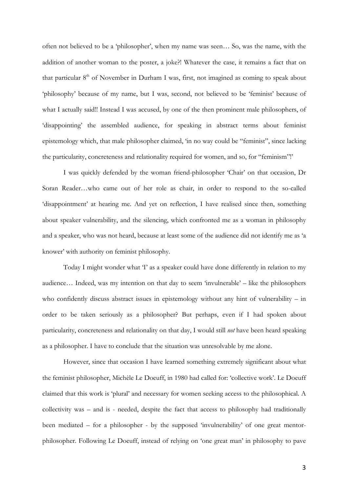often not believed to be a 'philosopher', when my name was seen… So, was the name, with the addition of another woman to the poster, a joke?! Whatever the case, it remains a fact that on that particular  $8<sup>th</sup>$  of November in Durham I was, first, not imagined as coming to speak about 'philosophy' because of my name, but I was, second, not believed to be 'feminist' because of what I actually said!! Instead I was accused, by one of the then prominent male philosophers, of 'disappointing' the assembled audience, for speaking in abstract terms about feminist epistemology which, that male philosopher claimed, 'in no way could be "feminist", since lacking the particularity, concreteness and relationality required for women, and so, for "feminism"!'

I was quickly defended by the woman friend-philosopher 'Chair' on that occasion, Dr Soran Reader…who came out of her role as chair, in order to respond to the so-called 'disappointment' at hearing me. And yet on reflection, I have realised since then, something about speaker vulnerability, and the silencing, which confronted me as a woman in philosophy and a speaker, who was not heard, because at least some of the audience did not identify me as 'a knower' with authority on feminist philosophy.

Today I might wonder what 'I' as a speaker could have done differently in relation to my audience… Indeed, was my intention on that day to seem 'invulnerable' – like the philosophers who confidently discuss abstract issues in epistemology without any hint of vulnerability – in order to be taken seriously as a philosopher? But perhaps, even if I had spoken about particularity, concreteness and relationality on that day, I would still *not* have been heard speaking as a philosopher. I have to conclude that the situation was unresolvable by me alone.

However, since that occasion I have learned something extremely significant about what the feminist philosopher, Michèle Le Doeuff, in 1980 had called for: 'collective work'. Le Doeuff claimed that this work is 'plural' and necessary for women seeking access to the philosophical. A collectivity was – and is - needed, despite the fact that access to philosophy had traditionally been mediated – for a philosopher - by the supposed 'invulnerability' of one great mentorphilosopher. Following Le Doeuff, instead of relying on 'one great man' in philosophy to pave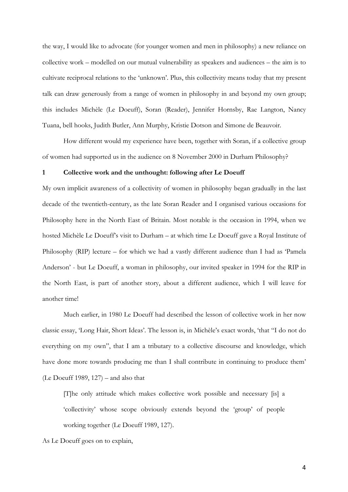the way, I would like to advocate (for younger women and men in philosophy) a new reliance on collective work – modelled on our mutual vulnerability as speakers and audiences – the aim is to cultivate reciprocal relations to the 'unknown'. Plus, this collectivity means today that my present talk can draw generously from a range of women in philosophy in and beyond my own group; this includes Michèle (Le Doeuff), Soran (Reader), Jennifer Hornsby, Rae Langton, Nancy Tuana, bell hooks, Judith Butler, Ann Murphy, Kristie Dotson and Simone de Beauvoir.

How different would my experience have been, together with Soran, if a collective group of women had supported us in the audience on 8 November 2000 in Durham Philosophy?

## **1 Collective work and the unthought: following after Le Doeuff**

My own implicit awareness of a collectivity of women in philosophy began gradually in the last decade of the twentieth-century, as the late Soran Reader and I organised various occasions for Philosophy here in the North East of Britain. Most notable is the occasion in 1994, when we hosted Michèle Le Doeuff's visit to Durham – at which time Le Doeuff gave a Royal Institute of Philosophy (RIP) lecture – for which we had a vastly different audience than I had as 'Pamela Anderson' - but Le Doeuff, a woman in philosophy, our invited speaker in 1994 for the RIP in the North East, is part of another story, about a different audience, which I will leave for another time!

Much earlier, in 1980 Le Doeuff had described the lesson of collective work in her now classic essay, 'Long Hair, Short Ideas'. The lesson is, in Michèle's exact words, 'that "I do not do everything on my own", that I am a tributary to a collective discourse and knowledge, which have done more towards producing me than I shall contribute in continuing to produce them' (Le Doeuff 1989, 127) – and also that

[T]he only attitude which makes collective work possible and necessary [is] a 'collectivity' whose scope obviously extends beyond the 'group' of people working together (Le Doeuff 1989, 127).

As Le Doeuff goes on to explain,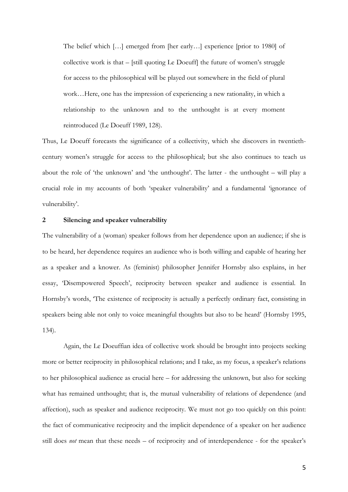The belief which […] emerged from [her early…] experience [prior to 1980] of collective work is that – [still quoting Le Doeuff] the future of women's struggle for access to the philosophical will be played out somewhere in the field of plural work…Here, one has the impression of experiencing a new rationality, in which a relationship to the unknown and to the unthought is at every moment reintroduced (Le Doeuff 1989, 128).

Thus, Le Doeuff forecasts the significance of a collectivity, which she discovers in twentiethcentury women's struggle for access to the philosophical; but she also continues to teach us about the role of 'the unknown' and 'the unthought'. The latter - the unthought – will play a crucial role in my accounts of both 'speaker vulnerability' and a fundamental 'ignorance of vulnerability'.

## **2 Silencing and speaker vulnerability**

The vulnerability of a (woman) speaker follows from her dependence upon an audience; if she is to be heard, her dependence requires an audience who is both willing and capable of hearing her as a speaker and a knower. As (feminist) philosopher Jennifer Hornsby also explains, in her essay, 'Disempowered Speech', reciprocity between speaker and audience is essential. In Hornsby's words, 'The existence of reciprocity is actually a perfectly ordinary fact, consisting in speakers being able not only to voice meaningful thoughts but also to be heard' (Hornsby 1995, 134).

Again, the Le Doeuffian idea of collective work should be brought into projects seeking more or better reciprocity in philosophical relations; and I take, as my focus, a speaker's relations to her philosophical audience as crucial here – for addressing the unknown, but also for seeking what has remained unthought; that is, the mutual vulnerability of relations of dependence (and affection), such as speaker and audience reciprocity. We must not go too quickly on this point: the fact of communicative reciprocity and the implicit dependence of a speaker on her audience still does *not* mean that these needs – of reciprocity and of interdependence - for the speaker's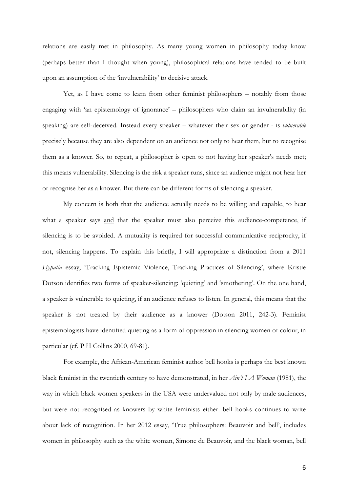relations are easily met in philosophy. As many young women in philosophy today know (perhaps better than I thought when young), philosophical relations have tended to be built upon an assumption of the 'invulnerability' to decisive attack.

Yet, as I have come to learn from other feminist philosophers – notably from those engaging with 'an epistemology of ignorance' – philosophers who claim an invulnerability (in speaking) are self-deceived. Instead every speaker – whatever their sex or gender - is *vulnerable* precisely because they are also dependent on an audience not only to hear them, but to recognise them as a knower. So, to repeat, a philosopher is open to not having her speaker's needs met; this means vulnerability. Silencing is the risk a speaker runs, since an audience might not hear her or recognise her as a knower. But there can be different forms of silencing a speaker.

My concern is both that the audience actually needs to be willing and capable, to hear what a speaker says and that the speaker must also perceive this audience-competence, if silencing is to be avoided. A mutuality is required for successful communicative reciprocity, if not, silencing happens. To explain this briefly, I will appropriate a distinction from a 2011 *Hypatia* essay, 'Tracking Epistemic Violence, Tracking Practices of Silencing', where Kristie Dotson identifies two forms of speaker-silencing: 'quieting' and 'smothering'. On the one hand, a speaker is vulnerable to quieting, if an audience refuses to listen. In general, this means that the speaker is not treated by their audience as a knower (Dotson 2011, 242-3). Feminist epistemologists have identified quieting as a form of oppression in silencing women of colour, in particular (cf. P H Collins 2000, 69-81).

For example, the African-American feminist author bell hooks is perhaps the best known black feminist in the twentieth century to have demonstrated, in her *Ain't I A Woman* (1981), the way in which black women speakers in the USA were undervalued not only by male audiences, but were not recognised as knowers by white feminists either. bell hooks continues to write about lack of recognition. In her 2012 essay, 'True philosophers: Beauvoir and bell', includes women in philosophy such as the white woman, Simone de Beauvoir, and the black woman, bell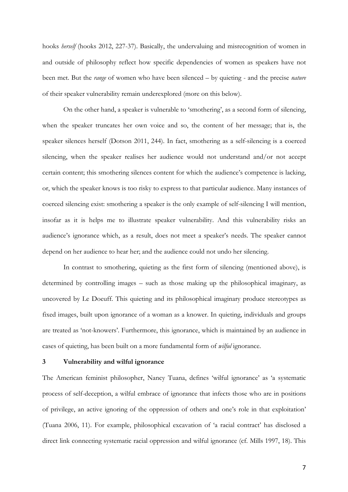hooks *herself* (hooks 2012, 227-37). Basically, the undervaluing and misrecognition of women in and outside of philosophy reflect how specific dependencies of women as speakers have not been met. But the *range* of women who have been silenced – by quieting - and the precise *nature* of their speaker vulnerability remain underexplored (more on this below).

On the other hand, a speaker is vulnerable to 'smothering', as a second form of silencing, when the speaker truncates her own voice and so, the content of her message; that is, the speaker silences herself (Dotson 2011, 244). In fact, smothering as a self-silencing is a coerced silencing, when the speaker realises her audience would not understand and/or not accept certain content; this smothering silences content for which the audience's competence is lacking, or, which the speaker knows is too risky to express to that particular audience. Many instances of coerced silencing exist: smothering a speaker is the only example of self-silencing I will mention, insofar as it is helps me to illustrate speaker vulnerability. And this vulnerability risks an audience's ignorance which, as a result, does not meet a speaker's needs. The speaker cannot depend on her audience to hear her; and the audience could not undo her silencing.

In contrast to smothering, quieting as the first form of silencing (mentioned above), is determined by controlling images – such as those making up the philosophical imaginary, as uncovered by Le Doeuff. This quieting and its philosophical imaginary produce stereotypes as fixed images, built upon ignorance of a woman as a knower. In quieting, individuals and groups are treated as 'not-knowers'. Furthermore, this ignorance, which is maintained by an audience in cases of quieting, has been built on a more fundamental form of *wilful* ignorance.

## **3 Vulnerability and wilful ignorance**

The American feminist philosopher, Nancy Tuana, defines 'wilful ignorance' as 'a systematic process of self-deception, a wilful embrace of ignorance that infects those who are in positions of privilege, an active ignoring of the oppression of others and one's role in that exploitation' (Tuana 2006, 11). For example, philosophical excavation of 'a racial contract' has disclosed a direct link connecting systematic racial oppression and wilful ignorance (cf. Mills 1997, 18). This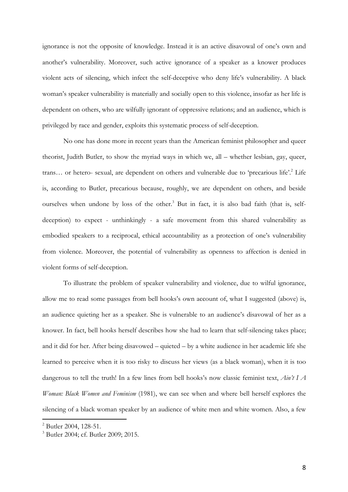ignorance is not the opposite of knowledge. Instead it is an active disavowal of one's own and another's vulnerability. Moreover, such active ignorance of a speaker as a knower produces violent acts of silencing, which infect the self-deceptive who deny life's vulnerability. A black woman's speaker vulnerability is materially and socially open to this violence, insofar as her life is dependent on others, who are wilfully ignorant of oppressive relations; and an audience, which is privileged by race and gender, exploits this systematic process of self-deception.

No one has done more in recent years than the American feminist philosopher and queer theorist, Judith Butler, to show the myriad ways in which we, all – whether lesbian, gay, queer, trans... or hetero- sexual, are dependent on others and vulnerable due to 'precarious life'.<sup>2</sup> Life is, according to Butler, precarious because, roughly, we are dependent on others, and beside ourselves when undone by loss of the other.<sup>3</sup> But in fact, it is also bad faith (that is, selfdeception) to expect - unthinkingly - a safe movement from this shared vulnerability as embodied speakers to a reciprocal, ethical accountability as a protection of one's vulnerability from violence. Moreover, the potential of vulnerability as openness to affection is denied in violent forms of self-deception.

To illustrate the problem of speaker vulnerability and violence, due to wilful ignorance, allow me to read some passages from bell hooks's own account of, what I suggested (above) is, an audience quieting her as a speaker. She is vulnerable to an audience's disavowal of her as a knower. In fact, bell hooks herself describes how she had to learn that self-silencing takes place; and it did for her. After being disavowed – quieted – by a white audience in her academic life she learned to perceive when it is too risky to discuss her views (as a black woman), when it is too dangerous to tell the truth! In a few lines from bell hooks's now classic feminist text, *Ain't I A Woman: Black Women and Feminism* (1981), we can see when and where bell herself explores the silencing of a black woman speaker by an audience of white men and white women. Also, a few

 

<sup>&</sup>lt;sup>2</sup> Butler 2004, 128-51.

<sup>3</sup> Butler 2004; cf. Butler 2009; 2015.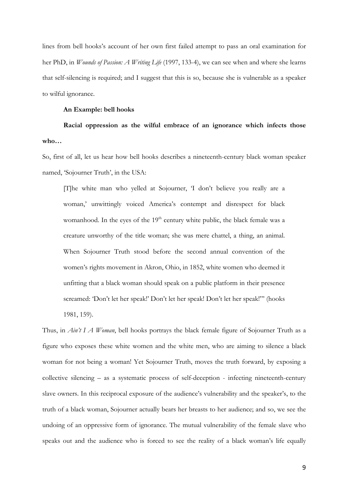lines from bell hooks's account of her own first failed attempt to pass an oral examination for her PhD, in *Wounds of Passion: A Writing Life* (1997, 133-4), we can see when and where she learns that self-silencing is required; and I suggest that this is so, because she is vulnerable as a speaker to wilful ignorance.

### **An Example: bell hooks**

**Racial oppression as the wilful embrace of an ignorance which infects those who…**

So, first of all, let us hear how bell hooks describes a nineteenth-century black woman speaker named, 'Sojourner Truth', in the USA:

[T]he white man who yelled at Sojourner, 'I don't believe you really are a woman,' unwittingly voiced America's contempt and disrespect for black womanhood. In the eyes of the 19<sup>th</sup> century white public, the black female was a creature unworthy of the title woman; she was mere chattel, a thing, an animal. When Sojourner Truth stood before the second annual convention of the women's rights movement in Akron, Ohio, in 1852, white women who deemed it unfitting that a black woman should speak on a public platform in their presence screamed: 'Don't let her speak!' Don't let her speak! Don't let her speak!"' (hooks 1981, 159).

Thus, in *Ain't I A Woman*, bell hooks portrays the black female figure of Sojourner Truth as a figure who exposes these white women and the white men, who are aiming to silence a black woman for not being a woman! Yet Sojourner Truth, moves the truth forward, by exposing a collective silencing – as a systematic process of self-deception - infecting nineteenth-century slave owners. In this reciprocal exposure of the audience's vulnerability and the speaker's, to the truth of a black woman, Sojourner actually bears her breasts to her audience; and so, we see the undoing of an oppressive form of ignorance. The mutual vulnerability of the female slave who speaks out and the audience who is forced to see the reality of a black woman's life equally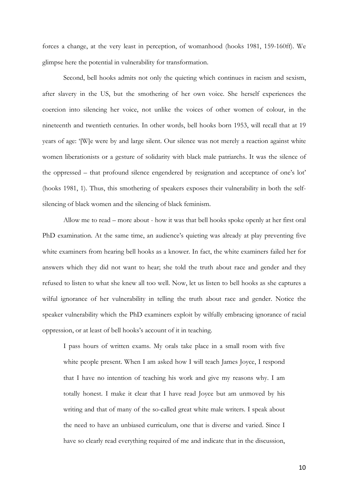forces a change, at the very least in perception, of womanhood (hooks 1981, 159-160ff). We glimpse here the potential in vulnerability for transformation.

Second, bell hooks admits not only the quieting which continues in racism and sexism, after slavery in the US, but the smothering of her own voice. She herself experiences the coercion into silencing her voice, not unlike the voices of other women of colour, in the nineteenth and twentieth centuries. In other words, bell hooks born 1953, will recall that at 19 years of age: '[W]e were by and large silent. Our silence was not merely a reaction against white women liberationists or a gesture of solidarity with black male patriarchs. It was the silence of the oppressed – that profound silence engendered by resignation and acceptance of one's lot' (hooks 1981, 1). Thus, this smothering of speakers exposes their vulnerability in both the selfsilencing of black women and the silencing of black feminism.

Allow me to read – more about - how it was that bell hooks spoke openly at her first oral PhD examination. At the same time, an audience's quieting was already at play preventing five white examiners from hearing bell hooks as a knower. In fact, the white examiners failed her for answers which they did not want to hear; she told the truth about race and gender and they refused to listen to what she knew all too well. Now, let us listen to bell hooks as she captures a wilful ignorance of her vulnerability in telling the truth about race and gender. Notice the speaker vulnerability which the PhD examiners exploit by wilfully embracing ignorance of racial oppression, or at least of bell hooks's account of it in teaching.

I pass hours of written exams. My orals take place in a small room with five white people present. When I am asked how I will teach James Joyce, I respond that I have no intention of teaching his work and give my reasons why. I am totally honest. I make it clear that I have read Joyce but am unmoved by his writing and that of many of the so-called great white male writers. I speak about the need to have an unbiased curriculum, one that is diverse and varied. Since I have so clearly read everything required of me and indicate that in the discussion,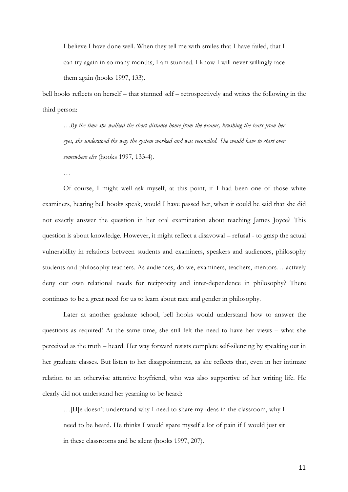I believe I have done well. When they tell me with smiles that I have failed, that I can try again in so many months, I am stunned. I know I will never willingly face them again (hooks 1997, 133).

bell hooks reflects on herself – that stunned self – retrospectively and writes the following in the third person:

…*By the time she walked the short distance home from the exams, brushing the tears from her eyes, she understood the way the system worked and was reconciled. She would have to start over somewhere else* (hooks 1997, 133-4).

…

Of course, I might well ask myself, at this point, if I had been one of those white examiners, hearing bell hooks speak, would I have passed her, when it could be said that she did not exactly answer the question in her oral examination about teaching James Joyce? This question is about knowledge. However, it might reflect a disavowal – refusal - to grasp the actual vulnerability in relations between students and examiners, speakers and audiences, philosophy students and philosophy teachers. As audiences, do we, examiners, teachers, mentors… actively deny our own relational needs for reciprocity and inter-dependence in philosophy? There continues to be a great need for us to learn about race and gender in philosophy.

Later at another graduate school, bell hooks would understand how to answer the questions as required! At the same time, she still felt the need to have her views – what she perceived as the truth – heard! Her way forward resists complete self-silencing by speaking out in her graduate classes. But listen to her disappointment, as she reflects that, even in her intimate relation to an otherwise attentive boyfriend, who was also supportive of her writing life. He clearly did not understand her yearning to be heard:

…[H]e doesn't understand why I need to share my ideas in the classroom, why I need to be heard. He thinks I would spare myself a lot of pain if I would just sit in these classrooms and be silent (hooks 1997, 207).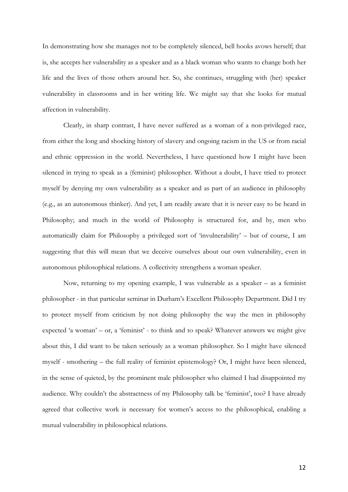In demonstrating how she manages not to be completely silenced, bell hooks avows herself; that is, she accepts her vulnerability as a speaker and as a black woman who wants to change both her life and the lives of those others around her. So, she continues, struggling with (her) speaker vulnerability in classrooms and in her writing life. We might say that she looks for mutual affection in vulnerability.

Clearly, in sharp contrast, I have never suffered as a woman of a non-privileged race, from either the long and shocking history of slavery and ongoing racism in the US or from racial and ethnic oppression in the world. Nevertheless, I have questioned how I might have been silenced in trying to speak as a (feminist) philosopher. Without a doubt, I have tried to protect myself by denying my own vulnerability as a speaker and as part of an audience in philosophy (e.g., as an autonomous thinker). And yet, I am readily aware that it is never easy to be heard in Philosophy; and much in the world of Philosophy is structured for, and by, men who automatically claim for Philosophy a privileged sort of 'invulnerability' – but of course, I am suggesting that this will mean that we deceive ourselves about our own vulnerability, even in autonomous philosophical relations. A collectivity strengthens a woman speaker.

Now, returning to my opening example, I was vulnerable as a speaker – as a feminist philosopher - in that particular seminar in Durham's Excellent Philosophy Department. Did I try to protect myself from criticism by not doing philosophy the way the men in philosophy expected 'a woman' – or, a 'feminist' - to think and to speak? Whatever answers we might give about this, I did want to be taken seriously as a woman philosopher. So I might have silenced myself - smothering – the full reality of feminist epistemology? Or, I might have been silenced, in the sense of quieted, by the prominent male philosopher who claimed I had disappointed my audience. Why couldn't the abstractness of my Philosophy talk be 'feminist', too? I have already agreed that collective work is necessary for women's access to the philosophical, enabling a mutual vulnerability in philosophical relations.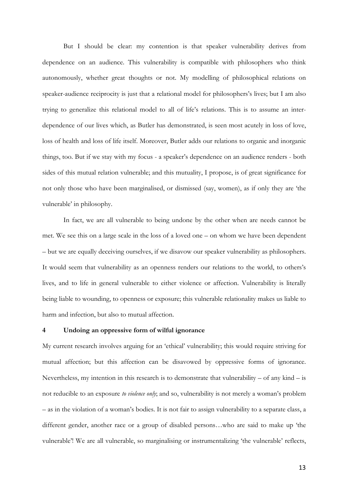But I should be clear: my contention is that speaker vulnerability derives from dependence on an audience. This vulnerability is compatible with philosophers who think autonomously, whether great thoughts or not. My modelling of philosophical relations on speaker-audience reciprocity is just that a relational model for philosophers's lives; but I am also trying to generalize this relational model to all of life's relations. This is to assume an interdependence of our lives which, as Butler has demonstrated, is seen most acutely in loss of love, loss of health and loss of life itself. Moreover, Butler adds our relations to organic and inorganic things, too. But if we stay with my focus - a speaker's dependence on an audience renders - both sides of this mutual relation vulnerable; and this mutuality, I propose, is of great significance for not only those who have been marginalised, or dismissed (say, women), as if only they are 'the vulnerable' in philosophy.

In fact, we are all vulnerable to being undone by the other when are needs cannot be met. We see this on a large scale in the loss of a loved one – on whom we have been dependent – but we are equally deceiving ourselves, if we disavow our speaker vulnerability as philosophers. It would seem that vulnerability as an openness renders our relations to the world, to others's lives, and to life in general vulnerable to either violence or affection. Vulnerability is literally being liable to wounding, to openness or exposure; this vulnerable relationality makes us liable to harm and infection, but also to mutual affection.

### **4 Undoing an oppressive form of wilful ignorance**

My current research involves arguing for an 'ethical' vulnerability; this would require striving for mutual affection; but this affection can be disavowed by oppressive forms of ignorance. Nevertheless, my intention in this research is to demonstrate that vulnerability – of any kind – is not reducible to an exposure *to violence only*; and so, vulnerability is not merely a woman's problem – as in the violation of a woman's bodies. It is not fair to assign vulnerability to a separate class, a different gender, another race or a group of disabled persons…who are said to make up 'the vulnerable'! We are all vulnerable, so marginalising or instrumentalizing 'the vulnerable' reflects,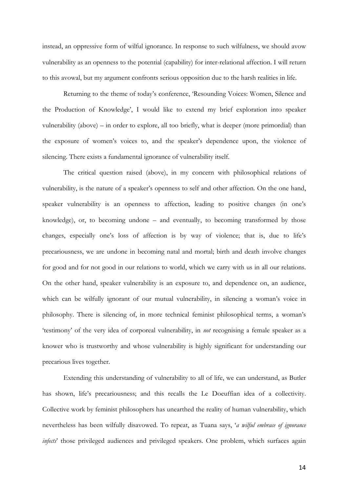instead, an oppressive form of wilful ignorance. In response to such wilfulness, we should avow vulnerability as an openness to the potential (capability) for inter-relational affection. I will return to this avowal, but my argument confronts serious opposition due to the harsh realities in life.

Returning to the theme of today's conference, 'Resounding Voices: Women, Silence and the Production of Knowledge', I would like to extend my brief exploration into speaker vulnerability (above) – in order to explore, all too briefly, what is deeper (more primordial) than the exposure of women's voices to, and the speaker's dependence upon, the violence of silencing. There exists a fundamental ignorance of vulnerability itself.

The critical question raised (above), in my concern with philosophical relations of vulnerability, is the nature of a speaker's openness to self and other affection. On the one hand, speaker vulnerability is an openness to affection, leading to positive changes (in one's knowledge), or, to becoming undone – and eventually, to becoming transformed by those changes, especially one's loss of affection is by way of violence; that is, due to life's precariousness, we are undone in becoming natal and mortal; birth and death involve changes for good and for not good in our relations to world, which we carry with us in all our relations. On the other hand, speaker vulnerability is an exposure to, and dependence on, an audience, which can be wilfully ignorant of our mutual vulnerability, in silencing a woman's voice in philosophy. There is silencing of, in more technical feminist philosophical terms, a woman's 'testimony' of the very idea of corporeal vulnerability, in *not* recognising a female speaker as a knower who is trustworthy and whose vulnerability is highly significant for understanding our precarious lives together.

Extending this understanding of vulnerability to all of life, we can understand, as Butler has shown, life's precariousness; and this recalls the Le Doeuffian idea of a collectivity. Collective work by feminist philosophers has unearthed the reality of human vulnerability, which nevertheless has been wilfully disavowed. To repeat, as Tuana says, '*a wilful embrace of ignorance infects*' those privileged audiences and privileged speakers. One problem, which surfaces again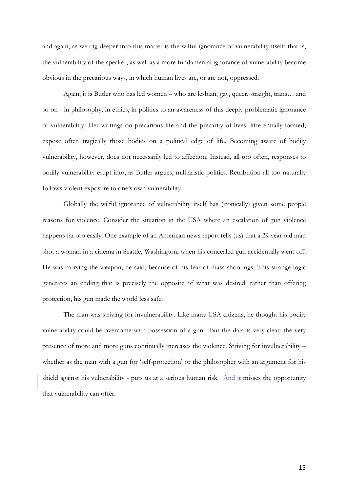and again, as we dig deeper into this matter is the wilful ignorance of vulnerability itself; that is, the vulnerability of the speaker, as well as a more fundamental ignorance of vulnerability become obvious in the precarious ways, in which human lives are, or are not, oppressed.

Again, it is Butler who has led women – who are lesbian, gay, queer, straight, trans… and so on - in philosophy, in ethics, in politics to an awareness of this deeply problematic ignorance of vulnerability. Her writings on precarious life and the precarity of lives differentially located, expose often tragically those bodies on a political edge of life. Becoming aware of bodily vulnerability, however, does not necessarily led to affection. Instead, all too often, responses to bodily vulnerability erupt into, as Butler argues, militaristic politics. Retribution all too naturally follows violent exposure to one's own vulnerability.

Globally the wilful ignorance of vulnerability itself has (ironically) given some people reasons for violence. Consider the situation in the USA where an escalation of gun violence happens far too easily. One example of an American news report tells (us) that a 29-year old man shot a woman in a cinema in Seattle, Washington, when his concealed gun accidentally went off. He was carrying the weapon, he said, because of his fear of mass shootings. This strange logic generates an ending that is precisely the opposite of what was desired: rather than offering protection, his gun made the world less safe.

The man was striving for invulnerability. Like many USA citizens, he thought his bodily vulnerability could be overcome with possession of a gun. But the data is very clear: the very presence of more and more guns continually increases the violence. Striving for invulnerability – whether as the man with a gun for 'self-protection' or the philosopher with an argument for his shield against his vulnerability - puts us at a serious human risk. And it misses the opportunity that vulnerability can offer.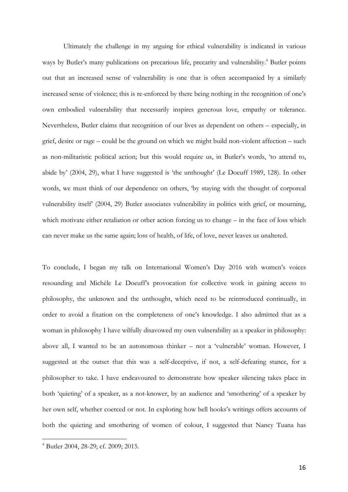Ultimately the challenge in my arguing for ethical vulnerability is indicated in various ways by Butler's many publications on precarious life, precarity and vulnerability.<sup>4</sup> Butler points out that an increased sense of vulnerability is one that is often accompanied by a similarly increased sense of violence; this is re-enforced by there being nothing in the recognition of one's own embodied vulnerability that necessarily inspires generous love, empathy or tolerance. Nevertheless, Butler claims that recognition of our lives as dependent on others – especially, in grief, desire or rage – could be the ground on which we might build non-violent affection – such as non-militaristic political action; but this would require us, in Butler's words, 'to attend to, abide by' (2004, 29), what I have suggested is 'the unthought' (Le Doeuff 1989, 128). In other words, we must think of our dependence on others, 'by staying with the thought of corporeal vulnerability itself' (2004, 29) Butler associates vulnerability in politics with grief, or mourning, which motivate either retaliation or other action forcing us to change – in the face of loss which can never make us the same again; loss of health, of life, of love, never leaves us unaltered.

To conclude, I began my talk on International Women's Day 2016 with women's voices resounding and Michèle Le Doeuff's provocation for collective work in gaining access to philosophy, the unknown and the unthought, which need to be reintroduced continually, in order to avoid a fixation on the completeness of one's knowledge. I also admitted that as a woman in philosophy I have wilfully disavowed my own vulnerability as a speaker in philosophy: above all, I wanted to be an autonomous thinker – not a 'vulnerable' woman. However, I suggested at the outset that this was a self-deceptive, if not, a self-defeating stance, for a philosopher to take. I have endeavoured to demonstrate how speaker silencing takes place in both 'quieting' of a speaker, as a not-knower, by an audience and 'smothering' of a speaker by her own self, whether coerced or not. In exploring how bell hooks's writings offers accounts of both the quieting and smothering of women of colour, I suggested that Nancy Tuana has

 

<sup>4</sup> Butler 2004, 28-29; cf. 2009; 2015.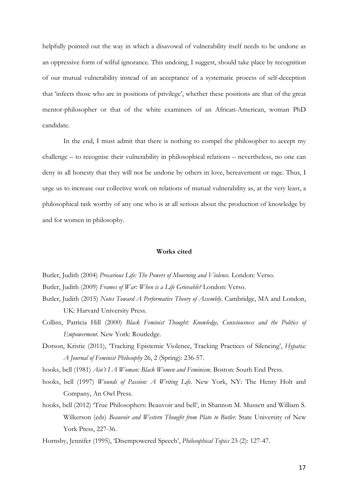helpfully pointed out the way in which a disavowal of vulnerability itself needs to be undone as an oppressive form of wilful ignorance. This undoing, I suggest, should take place by recognition of our mutual vulnerability instead of an acceptance of a systematic process of self-deception that 'infects those who are in positions of privilege', whether these positions are that of the great mentor-philosopher or that of the white examiners of an African-American, woman PhD candidate.

In the end, I must admit that there is nothing to compel the philosopher to accept my challenge – to recognise their vulnerability in philosophical relations – nevertheless, no one can deny in all honesty that they will not be undone by others in love, bereavement or rage. Thus, I urge us to increase our collective work on relations of mutual vulnerability as, at the very least, a philosophical task worthy of any one who is at all serious about the production of knowledge by and for women in philosophy.

### **Works cited**

- Butler, Judith (2004) *Precarious Life: The Powers of Mourning and Violence.* London: Verso.
- Butler, Judith (2009) *Frames of War: When is a Life Grievable?* London: Verso.
- Butler, Judith (2015) *Notes Toward A Performative Theory of Assembly*. Cambridge, MA and London, UK: Harvard University Press.
- Collins, Patricia Hill (2000) *Black Feminist Thought: Knowledge, Consciousness and the Politics of Empowerment*. New York: Routledge.
- Dotson, Kristie (2011), 'Tracking Epistemic Violence, Tracking Practices of Silencing', *Hypatia: A Journal of Feminist Philosophy* 26, 2 (Spring): 236-57.
- hooks, bell (1981) *Ain't I A Woman: Black Women and Feminism*. Boston: South End Press.
- hooks, bell (1997) *Wounds of Passion: A Writing Life*. New York, NY: The Henry Holt and Company, An Owl Press.
- hooks, bell (2012) 'True Philosophers: Beauvoir and bell', in Shannon M. Mussett and William S. Wilkerson (eds) *Beauvoir and Western Thought from Plato to Butler*. State University of New York Press, 227-36.
- Hornsby, Jennifer (1995), 'Disempowered Speech', *Philosophical Topics* 23 (2): 127-47.